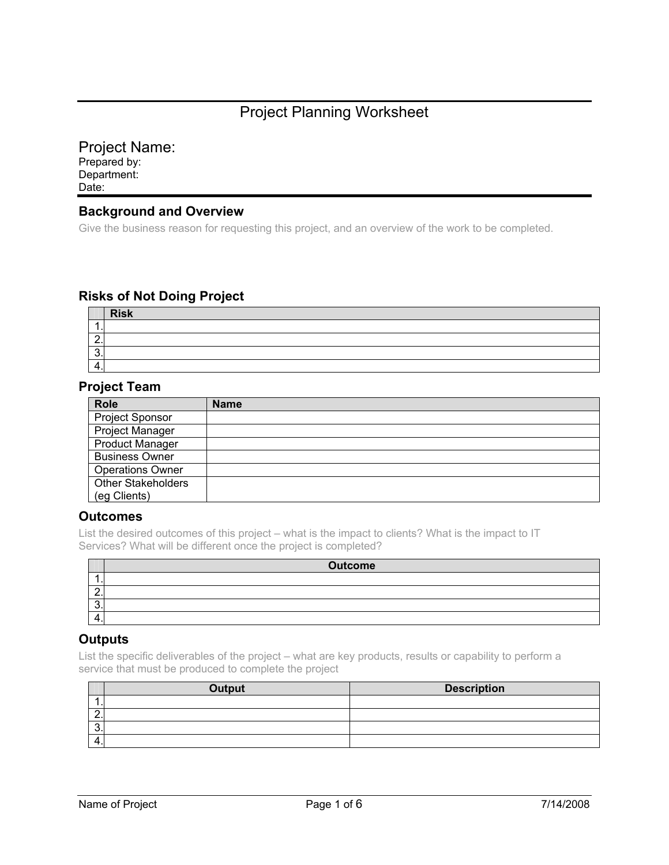# Project Planning Worksheet

### Project Name:

Prepared by: Department: Date:

#### **Background and Overview**

Give the business reason for requesting this project, and an overview of the work to be completed.

## **Risks of Not Doing Project**

|   | <b>Risk</b> |
|---|-------------|
|   |             |
|   |             |
| ີ |             |
| 4 |             |

#### **Project Team**

| <b>Role</b>               | <b>Name</b> |
|---------------------------|-------------|
| Project Sponsor           |             |
| Project Manager           |             |
| <b>Product Manager</b>    |             |
| <b>Business Owner</b>     |             |
| <b>Operations Owner</b>   |             |
| <b>Other Stakeholders</b> |             |
| (eg Clients)              |             |

#### **Outcomes**

List the desired outcomes of this project – what is the impact to clients? What is the impact to IT Services? What will be different once the project is completed?

|          | <b>Outcome</b> |
|----------|----------------|
|          |                |
| <u>_</u> |                |
| . .      |                |
|          |                |

#### **Outputs**

List the specific deliverables of the project – what are key products, results or capability to perform a service that must be produced to complete the project

|          | Output | <b>Description</b> |
|----------|--------|--------------------|
|          |        |                    |
| <u>.</u> |        |                    |
|          |        |                    |
| $\prime$ |        |                    |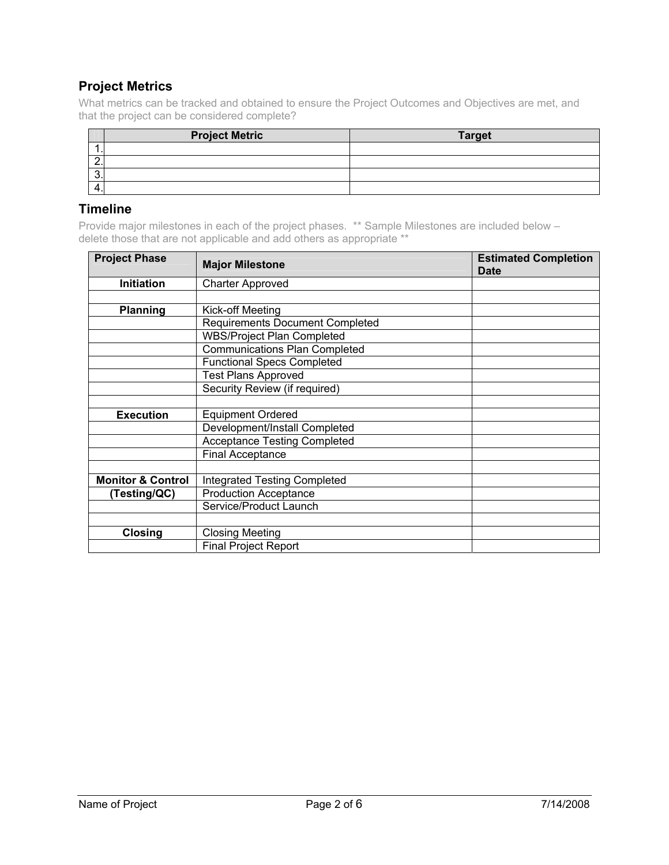## **Project Metrics**

What metrics can be tracked and obtained to ensure the Project Outcomes and Objectives are met, and that the project can be considered complete?

|          | <b>Project Metric</b> | <b>Target</b> |
|----------|-----------------------|---------------|
|          |                       |               |
| <u>.</u> |                       |               |
|          |                       |               |
|          |                       |               |

#### **Timeline**

Provide major milestones in each of the project phases. \*\* Sample Milestones are included below – delete those that are not applicable and add others as appropriate \*\*

| <b>Project Phase</b>                         | <b>Major Milestone</b>              | <b>Estimated Completion</b><br><b>Date</b> |  |  |
|----------------------------------------------|-------------------------------------|--------------------------------------------|--|--|
| <b>Initiation</b>                            | <b>Charter Approved</b>             |                                            |  |  |
|                                              |                                     |                                            |  |  |
| <b>Planning</b>                              | Kick-off Meeting                    |                                            |  |  |
|                                              | Requirements Document Completed     |                                            |  |  |
|                                              | <b>WBS/Project Plan Completed</b>   |                                            |  |  |
|                                              | Communications Plan Completed       |                                            |  |  |
|                                              | <b>Functional Specs Completed</b>   |                                            |  |  |
|                                              | <b>Test Plans Approved</b>          |                                            |  |  |
|                                              | Security Review (if required)       |                                            |  |  |
|                                              |                                     |                                            |  |  |
| <b>Execution</b>                             | <b>Equipment Ordered</b>            |                                            |  |  |
|                                              | Development/Install Completed       |                                            |  |  |
|                                              | <b>Acceptance Testing Completed</b> |                                            |  |  |
|                                              | <b>Final Acceptance</b>             |                                            |  |  |
|                                              |                                     |                                            |  |  |
| <b>Monitor &amp; Control</b>                 | <b>Integrated Testing Completed</b> |                                            |  |  |
| <b>Production Acceptance</b><br>(Testing/QC) |                                     |                                            |  |  |
|                                              | Service/Product Launch              |                                            |  |  |
|                                              |                                     |                                            |  |  |
| <b>Closing</b>                               | <b>Closing Meeting</b>              |                                            |  |  |
|                                              | <b>Final Project Report</b>         |                                            |  |  |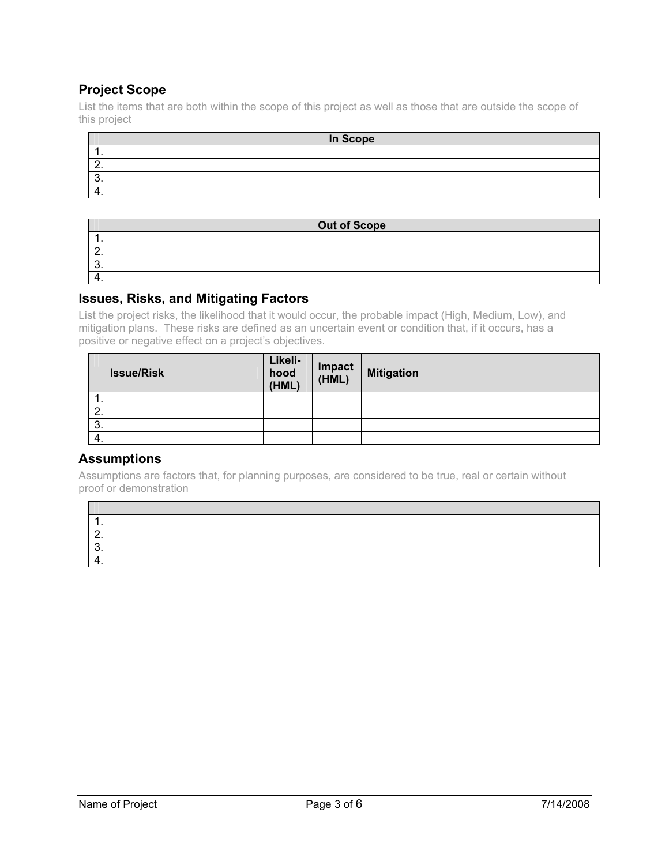## **Project Scope**

List the items that are both within the scope of this project as well as those that are outside the scope of this project

|                           | In Scope |
|---------------------------|----------|
|                           |          |
|                           |          |
| c<br>$\ddot{\phantom{a}}$ |          |
| ◢                         |          |
|                           |          |

|   | <b>Out of Scope</b> |
|---|---------------------|
|   |                     |
|   |                     |
| u |                     |
|   |                     |

#### **Issues, Risks, and Mitigating Factors**

List the project risks, the likelihood that it would occur, the probable impact (High, Medium, Low), and mitigation plans. These risks are defined as an uncertain event or condition that, if it occurs, has a positive or negative effect on a project's objectives.

|                 | <b>Issue/Risk</b> | Likeli-<br>hood<br>(HML) | Impact<br>(HML) | <b>Mitigation</b> |
|-----------------|-------------------|--------------------------|-----------------|-------------------|
| . .             |                   |                          |                 |                   |
| റ<br>$\epsilon$ |                   |                          |                 |                   |
| 3.              |                   |                          |                 |                   |
| 4.              |                   |                          |                 |                   |

### **Assumptions**

Assumptions are factors that, for planning purposes, are considered to be true, real or certain without proof or demonstration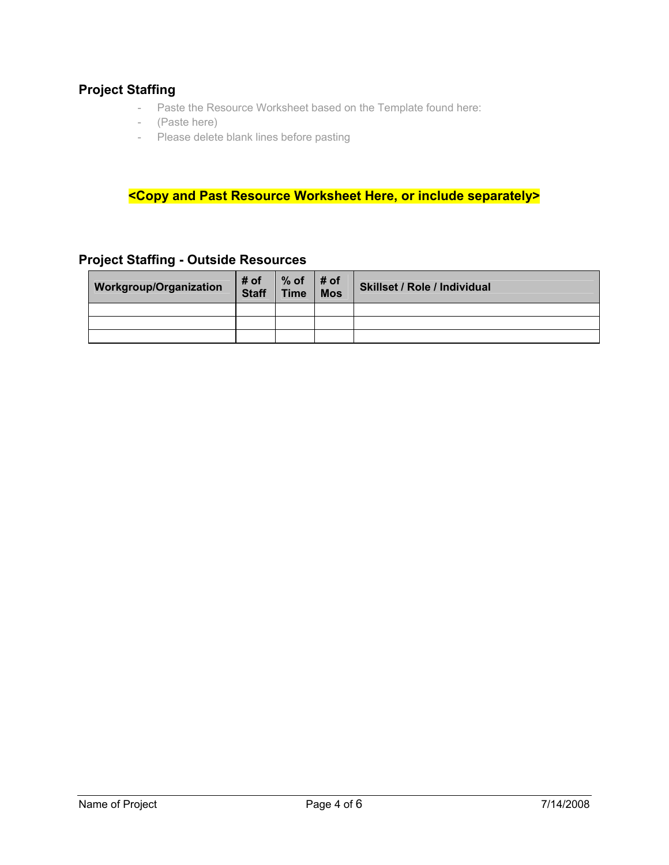### **Project Staffing**

- Paste the Resource Worksheet based on the Template found here:
- (Paste here)
- Please delete blank lines before pasting

**<Copy and Past Resource Worksheet Here, or include separately>** 

| <b>Workgroup/Organization</b> | # of<br><b>Staff</b> | % of $\vert$ # of<br>Time   Mos | <b>Skillset / Role / Individual</b> |
|-------------------------------|----------------------|---------------------------------|-------------------------------------|
|                               |                      |                                 |                                     |
|                               |                      |                                 |                                     |
|                               |                      |                                 |                                     |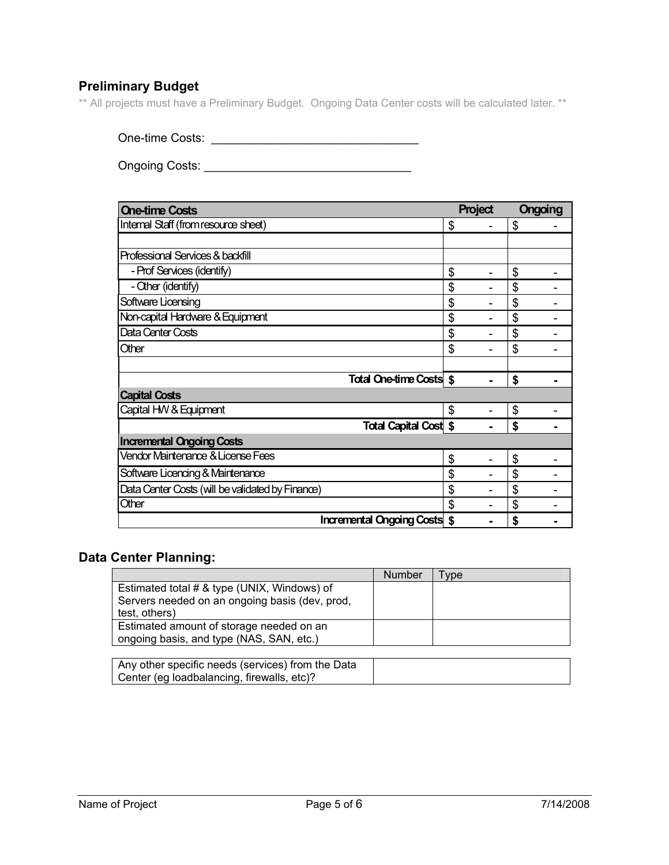## **Preliminary Budget**

\*\* All projects must have a Preliminary Budget. Ongoing Data Center costs will be calculated later. \*\*

One-time Costs: \_\_\_\_\_\_\_\_\_\_\_\_\_\_\_\_\_\_\_\_\_\_\_\_\_\_\_\_\_\_\_

Ongoing Costs: \_\_\_\_\_\_\_\_\_\_\_\_\_\_\_\_\_\_\_\_\_\_\_\_\_\_\_\_\_\_\_

| <b>One-time Costs</b>                            | Project | <b>Ongoing</b> |  |
|--------------------------------------------------|---------|----------------|--|
| Internal Staff (from resource sheet)             | \$      | \$             |  |
|                                                  |         |                |  |
| Professional Services & backfill                 |         |                |  |
| - Prof Services (identify)                       | \$      | \$             |  |
| - Other (identify)                               | \$      | \$             |  |
| Software Licensing                               | \$      | \$             |  |
| Non-capital Hardware & Equipment                 | \$      | \$             |  |
| Data Center Costs                                | \$      | \$             |  |
| Other                                            | \$      | \$             |  |
|                                                  |         |                |  |
| <b>Total One-time Costs \$</b>                   |         | \$             |  |
| <b>Capital Costs</b>                             |         |                |  |
| Capital HW & Equipment                           | \$      | \$             |  |
| <b>Total Capital Cost \$</b>                     |         | \$             |  |
| <b>Incremental Ongoing Costs</b>                 |         |                |  |
| Vendor Maintenance & License Fees                | \$      | \$             |  |
| Software Licencing & Maintenance                 | \$      | \$             |  |
| Data Center Costs (will be validated by Finance) | \$      | \$             |  |
| Other                                            | \$      | \$             |  |
| <b>Incremental Ongoing Costs \$</b>              |         | S              |  |

### **Data Center Planning:**

|                                                | Number | vpe |
|------------------------------------------------|--------|-----|
| Estimated total # & type (UNIX, Windows) of    |        |     |
| Servers needed on an ongoing basis (dev, prod, |        |     |
| test, others)                                  |        |     |
| Estimated amount of storage needed on an       |        |     |
| ongoing basis, and type (NAS, SAN, etc.)       |        |     |

| Any other specific needs (services) from the Data |  |
|---------------------------------------------------|--|
| Center (eg loadbalancing, firewalls, etc)?        |  |